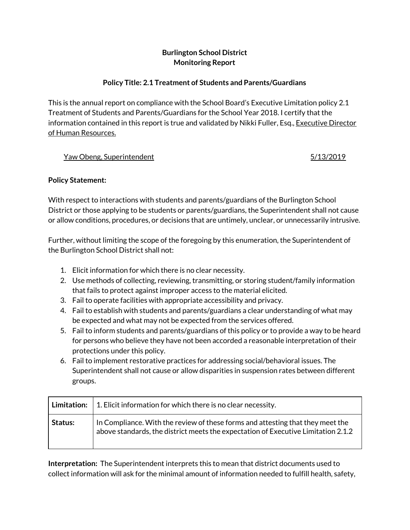# **Burlington School District Monitoring Report**

# **Policy Title: 2.1 Treatment of Students and Parents/Guardians**

This is the annual report on compliance with the School Board's Executive Limitation policy 2.1 Treatment of Students and Parents/Guardians for the School Year 2018. I certify that the information contained in this report is true and validated by Nikki Fuller, Esq., Executive Director of Human Resources.

#### Yaw Obeng, Superintendent **1996** Superintendent 1996 Superintendent and the state of the state of the state of the state of the state of the state of the state of the state of the state of the state of the state of the sta

#### **Policy Statement:**

With respect to interactions with students and parents/guardians of the Burlington School District or those applying to be students or parents/guardians, the Superintendent shall not cause or allow conditions, procedures, or decisions that are untimely, unclear, or unnecessarily intrusive.

Further, without limiting the scope of the foregoing by this enumeration, the Superintendent of the Burlington School District shall not:

- 1. Elicit information for which there is no clear necessity.
- 2. Use methods of collecting, reviewing, transmitting, or storing student/family information that fails to protect against improper access to the material elicited.
- 3. Fail to operate facilities with appropriate accessibility and privacy.
- 4. Fail to establish with students and parents/guardians a clear understanding of what may be expected and what may not be expected from the services offered.
- 5. Fail to inform students and parents/guardians of this policy or to provide a way to be heard for persons who believe they have not been accorded a reasonable interpretation of their protections under this policy.
- 6. Fail to implement restorative practices for addressing social/behavioral issues. The Superintendent shall not cause or allow disparities in suspension rates between different groups.

| <b>Limitation:</b> | $\mid$ 1. Elicit information for which there is no clear necessity.                                                                                                 |
|--------------------|---------------------------------------------------------------------------------------------------------------------------------------------------------------------|
| Status:            | In Compliance. With the review of these forms and attesting that they meet the<br>above standards, the district meets the expectation of Executive Limitation 2.1.2 |

**Interpretation:** The Superintendent interprets this to mean that district documents used to collect information will ask for the minimal amount of information needed to fulfill health, safety,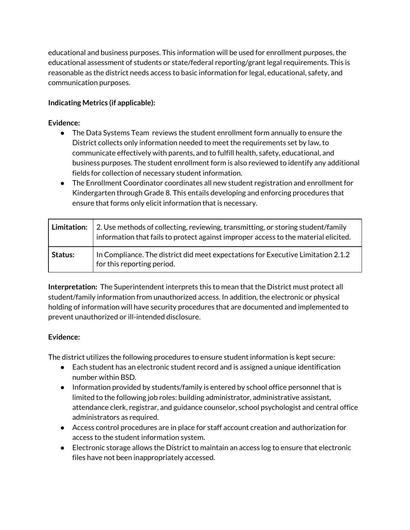educational and business purposes. This information will be used for enrollment purposes, the educational assessment of students or state/federal reporting/grant legal requirements. This is reasonable as the district needs access to basic information for legal, educational, safety, and communication purposes.

# **Indicating Metrics (if applicable):**

### **Evidence:**

- The Data Systems Team reviews the student enrollment form annually to ensure the District collects only information needed to meet the requirements set by law, to communicate effectively with parents, and to fulfill health, safety, educational, and business purposes. The student enrollment form is also reviewed to identify any additional fields for collection of necessary student information.
- The Enrollment Coordinator coordinates all new student registration and enrollment for Kindergarten through Grade 8. This entails developing and enforcing procedures that ensure that forms only elicit information that is necessary.

| Limitation: | 2. Use methods of collecting, reviewing, transmitting, or storing student/family<br>information that fails to protect against improper access to the material elicited. |
|-------------|-------------------------------------------------------------------------------------------------------------------------------------------------------------------------|
| Status:     | In Compliance. The district did meet expectations for Executive Limitation 2.1.2<br>for this reporting period.                                                          |

**Interpretation:** The Superintendent interprets this to mean that the District must protect all student/family information from unauthorized access. In addition, the electronic or physical holding of information will have security procedures that are documented and implemented to prevent unauthorized or ill-intended disclosure.

#### **Evidence:**

The district utilizes the following procedures to ensure student information is kept secure:

- Each student has an electronic student record and is assigned a unique identification number within BSD.
- Information provided by students/family is entered by school office personnel that is limited to the following job roles: building administrator, administrative assistant, attendance clerk, registrar, and guidance counselor, school psychologist and central office administrators as required.
- Access control procedures are in place for staff account creation and authorization for access to the student information system.
- Electronic storage allows the District to maintain an access log to ensure that electronic files have not been inappropriately accessed.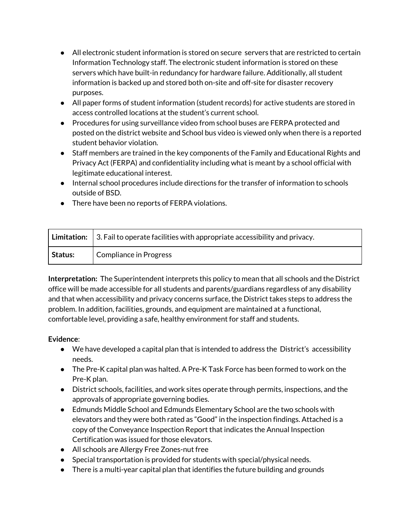- All electronic student information is stored on secure servers that are restricted to certain Information Technology staff. The electronic student information is stored on these servers which have built-in redundancy for hardware failure. Additionally, all student information is backed up and stored both on-site and off-site for disaster recovery purposes.
- All paper forms of student information (student records) for active students are stored in access controlled locations at the student's current school.
- Procedures for using surveillance video from school buses are FERPA protected and posted on the district website and School bus video is viewed only when there is a reported student behavior violation.
- Staff members are trained in the key components of the Family and Educational Rights and Privacy Act (FERPA) and confidentiality including what is meant by a school official with legitimate educational interest.
- Internal school procedures include directions for the transfer of information to schools outside of BSD.
- There have been no reports of FERPA violations.

|                | Limitation: $\vert$ 3. Fail to operate facilities with appropriate accessibility and privacy. |
|----------------|-----------------------------------------------------------------------------------------------|
| <b>Status:</b> | Compliance in Progress                                                                        |

**Interpretation:** The Superintendent interprets this policy to mean that all schools and the District office will be made accessible for all students and parents/guardians regardless of any disability and that when accessibility and privacy concerns surface, the District takes steps to address the problem. In addition, facilities, grounds, and equipment are maintained at a functional, comfortable level, providing a safe, healthy environment for staff and students.

- We have developed a capital plan that is intended to address the District's accessibility needs.
- The Pre-K capital plan was halted. A Pre-K Task Force has been formed to work on the Pre-K plan.
- District schools, facilities, and work sites operate through permits, inspections, and the approvals of appropriate governing bodies.
- Edmunds Middle School and Edmunds Elementary School are the two schools with elevators and they were both rated as "Good" in the inspection findings. Attached is a copy of the Conveyance Inspection Report that indicates the Annual Inspection Certification was issued for those elevators.
- All schools are Allergy Free Zones-nut free
- Special transportation is provided for students with special/physical needs.
- There is a multi-year capital plan that identifies the future building and grounds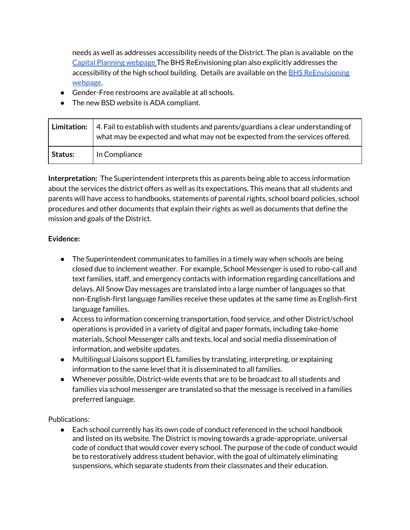needs as well as addresses accessibility needs of the District. The plan is available on the Capital Planning [webpage](https://www.bsdvt.org/district/budget/capital-planning/) The BHS ReEnvisioning plan also explicitly addresses the accessibility of the high school building. Details are available on the **BHS [ReEnvisioning](https://www.bsdvt.org/district/budget/bhs-renovations/)** [webpage.](https://www.bsdvt.org/district/budget/bhs-renovations/)

- Gender-Free restrooms are available at all schools.
- The new BSD website is ADA compliant.

|         | <b>Limitation:</b> $\vert$ 4. Fail to establish with students and parents/guardians a clear understanding of<br>what may be expected and what may not be expected from the services offered. |
|---------|----------------------------------------------------------------------------------------------------------------------------------------------------------------------------------------------|
| Status: | In Compliance                                                                                                                                                                                |

**Interpretation:** The Superintendent interprets this as parents being able to access information about the services the district offers as well as its expectations. This means that all students and parents will have access to handbooks, statements of parental rights, school board policies, school procedures and other documents that explain their rights as well as documents that define the mission and goals of the District.

#### **Evidence:**

- The Superintendent communicates to families in a timely way when schools are being closed due to inclement weather. For example, School Messenger is used to robo-call and text families, staff, and emergency contacts with information regarding cancellations and delays. All Snow Day messages are translated into a large number of languages so that non-English-first language families receive these updates at the same time as English-first language families.
- Access to information concerning transportation, food service, and other District/school operations is provided in a variety of digital and paper formats, including take-home materials, School Messenger calls and texts, local and social media dissemination of information, and website updates.
- Multilingual Liaisons support EL families by translating, interpreting, or explaining information to the same level that it is disseminated to all families.
- Whenever possible, District-wide events that are to be broadcast to all students and families via school messenger are translated so that the message is received in a families preferred language.

Publications:

● Each school currently has its own code of conduct referenced in the school handbook and listed on its website. The District is moving towards a grade-appropriate, universal code of conduct that would cover every school. The purpose of the code of conduct would be to restoratively address student behavior, with the goal of ultimately eliminating suspensions, which separate students from their classmates and their education.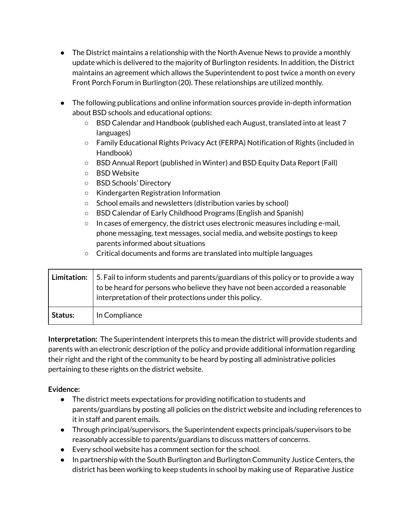- The District maintains a relationship with the North Avenue News to provide a monthly update which is delivered to the majority of Burlington residents. In addition, the District maintains an agreement which allows the Superintendent to post twice a month on every Front Porch Forum in Burlington (20). These relationships are utilized monthly.
- The following publications and online information sources provide in-depth information about BSD schools and educational options:
	- BSD Calendar and Handbook (published each August, translated into at least 7 languages)
	- Family Educational Rights Privacy Act (FERPA) Notification of Rights (included in Handbook)
	- BSD Annual Report (published in Winter) and BSD Equity Data Report (Fall)
	- BSD Website
	- BSD Schools' Directory
	- Kindergarten Registration Information
	- School emails and newsletters (distribution varies by school)
	- BSD Calendar of Early Childhood Programs (English and Spanish)
	- $\circ$  In cases of emergency, the district uses electronic measures including e-mail, phone messaging, text messages, social media, and website postings to keep parents informed about situations
	- Critical documents and forms are translated into multiple languages

| <b>Limitation:</b> | 5. Fail to inform students and parents/guardians of this policy or to provide a way<br>to be heard for persons who believe they have not been accorded a reasonable<br>interpretation of their protections under this policy. |
|--------------------|-------------------------------------------------------------------------------------------------------------------------------------------------------------------------------------------------------------------------------|
| Status:            | In Compliance                                                                                                                                                                                                                 |

**Interpretation:** The Superintendent interprets this to mean the district will provide students and parents with an electronic description of the policy and provide additional information regarding their right and the right of the community to be heard by posting all administrative policies pertaining to these rights on the district website.

- The district meets expectations for providing notification to students and parents/guardians by posting all policies on the district website and including references to it in staff and parent emails.
- Through principal/supervisors, the Superintendent expects principals/supervisors to be reasonably accessible to parents/guardians to discuss matters of concerns.
- Every school website has a comment section for the school.
- In partnership with the South Burlington and Burlington Community Justice Centers, the district has been working to keep students in school by making use of Reparative Justice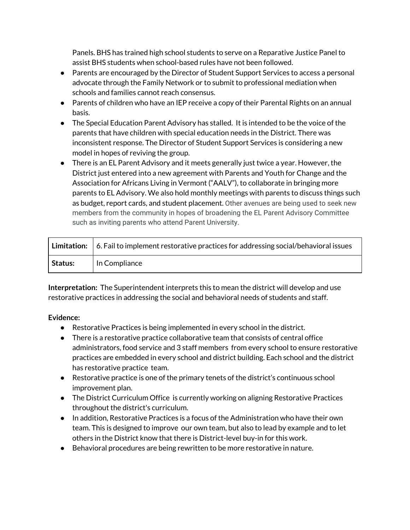Panels. BHS has trained high school students to serve on a Reparative Justice Panel to assist BHS students when school-based rules have not been followed.

- Parents are encouraged by the Director of Student Support Services to access a personal advocate through the Family Network or to submit to professional mediation when schools and families cannot reach consensus.
- Parents of children who have an IEP receive a copy of their Parental Rights on an annual basis.
- The Special Education Parent Advisory has stalled. It is intended to be the voice of the parents that have children with special education needs in the District. There was inconsistent response. The Director of Student Support Services is considering a new model in hopes of reviving the group.
- There is an EL Parent Advisory and it meets generally just twice a year. However, the District just entered into a new agreement with Parents and Youth for Change and the Association for Africans Living in Vermont ("AALV"), to collaborate in bringing more parents to EL Advisory. We also hold monthly meetings with parents to discuss things such as budget, report cards, and student placement. Other avenues are being used to seek new members from the community in hopes of broadening the EL Parent Advisory Committee such as inviting parents who attend Parent University.

|         | Limitation: $\vert$ 6. Fail to implement restorative practices for addressing social/behavioral issues |
|---------|--------------------------------------------------------------------------------------------------------|
| Status: | In Compliance                                                                                          |

**Interpretation:** The Superintendent interprets this to mean the district will develop and use restorative practices in addressing the social and behavioral needs of students and staff.

- Restorative Practices is being implemented in every school in the district.
- There is a restorative practice collaborative team that consists of central office administrators, food service and 3 staff members from every school to ensure restorative practices are embedded in every school and district building. Each school and the district has restorative practice team.
- Restorative practice is one of the primary tenets of the district's continuous school improvement plan.
- The District Curriculum Office is currently working on aligning Restorative Practices throughout the district's curriculum.
- In addition, Restorative Practices is a focus of the Administration who have their own team. This is designed to improve our own team, but also to lead by example and to let others in the District know that there is District-level buy-in for this work.
- Behavioral procedures are being rewritten to be more restorative in nature.